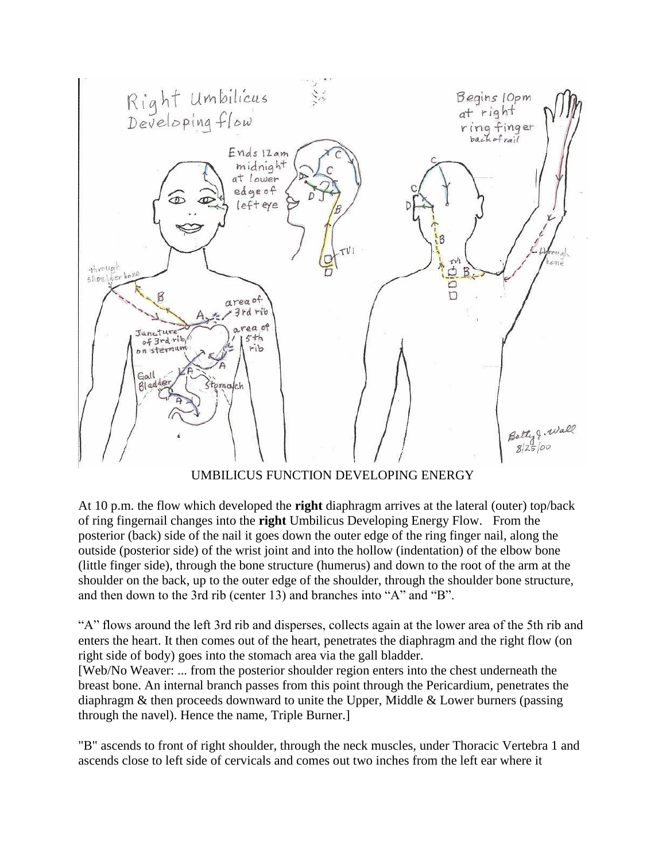

UMBILICUS FUNCTION DEVELOPING ENERGY

At 10 p.m. the flow which developed the **right** diaphragm arrives at the lateral (outer) top/back of ring fingernail changes into the **right** Umbilicus Developing Energy Flow. From the posterior (back) side of the nail it goes down the outer edge of the ring finger nail, along the outside (posterior side) of the wrist joint and into the hollow (indentation) of the elbow bone (little finger side), through the bone structure (humerus) and down to the root of the arm at the shoulder on the back, up to the outer edge of the shoulder, through the shoulder bone structure, and then down to the 3rd rib (center 13) and branches into "A" and "B".

"A" flows around the left 3rd rib and disperses, collects again at the lower area of the 5th rib and enters the heart. It then comes out of the heart, penetrates the diaphragm and the right flow (on right side of body) goes into the stomach area via the gall bladder.

[Web/No Weaver: ... from the posterior shoulder region enters into the chest underneath the breast bone. An internal branch passes from this point through the Pericardium, penetrates the diaphragm & then proceeds downward to unite the Upper, Middle & Lower burners (passing through the navel). Hence the name, Triple Burner.]

"B" ascends to front of right shoulder, through the neck muscles, under Thoracic Vertebra 1 and ascends close to left side of cervicals and comes out two inches from the left ear where it